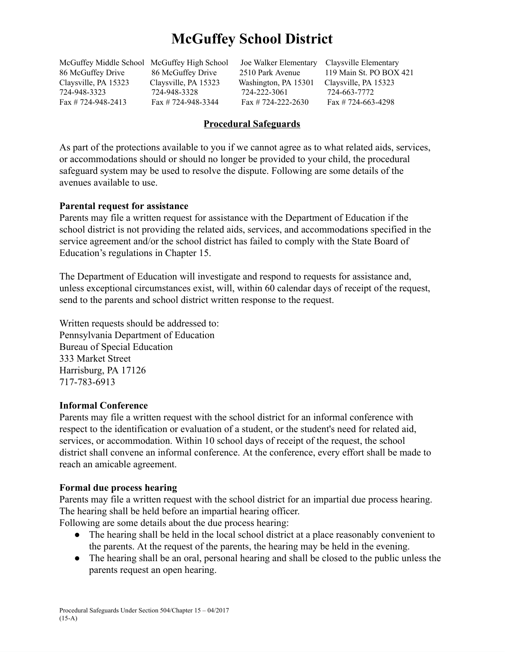# **McGuffey School District**

McGuffey Middle School McGuffey High School Joe Walker Elementary Claysville Elementary Claysville, PA 15323 Claysville, PA 15323 Washington, PA 15301 Claysville, PA 15323 724-948-3323 724-948-3328 724-222-3061 724-663-7772 Fax # 724-948-2413 Fax # 724-948-3344 Fax # 724-222-2630 Fax # 724-663-4298

86 McGuffey Drive 86 McGuffey Drive 2510 Park Avenue 119 Main St. PO BOX 421

### **Procedural Safeguards**

As part of the protections available to you if we cannot agree as to what related aids, services, or accommodations should or should no longer be provided to your child, the procedural safeguard system may be used to resolve the dispute. Following are some details of the avenues available to use.

#### **Parental request for assistance**

Parents may file a written request for assistance with the Department of Education if the school district is not providing the related aids, services, and accommodations specified in the service agreement and/or the school district has failed to comply with the State Board of Education's regulations in Chapter 15.

The Department of Education will investigate and respond to requests for assistance and, unless exceptional circumstances exist, will, within 60 calendar days of receipt of the request, send to the parents and school district written response to the request.

Written requests should be addressed to: Pennsylvania Department of Education Bureau of Special Education 333 Market Street Harrisburg, PA 17126 717-783-6913

#### **Informal Conference**

Parents may file a written request with the school district for an informal conference with respect to the identification or evaluation of a student, or the student's need for related aid, services, or accommodation. Within 10 school days of receipt of the request, the school district shall convene an informal conference. At the conference, every effort shall be made to reach an amicable agreement.

#### **Formal due process hearing**

Parents may file a written request with the school district for an impartial due process hearing. The hearing shall be held before an impartial hearing officer.

Following are some details about the due process hearing:

- The hearing shall be held in the local school district at a place reasonably convenient to the parents. At the request of the parents, the hearing may be held in the evening.
- The hearing shall be an oral, personal hearing and shall be closed to the public unless the parents request an open hearing.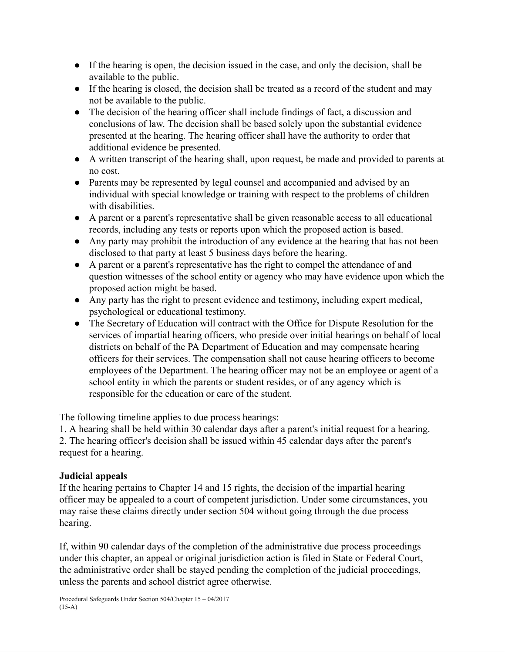- If the hearing is open, the decision issued in the case, and only the decision, shall be available to the public.
- If the hearing is closed, the decision shall be treated as a record of the student and may not be available to the public.
- The decision of the hearing officer shall include findings of fact, a discussion and conclusions of law. The decision shall be based solely upon the substantial evidence presented at the hearing. The hearing officer shall have the authority to order that additional evidence be presented.
- A written transcript of the hearing shall, upon request, be made and provided to parents at no cost.
- Parents may be represented by legal counsel and accompanied and advised by an individual with special knowledge or training with respect to the problems of children with disabilities.
- A parent or a parent's representative shall be given reasonable access to all educational records, including any tests or reports upon which the proposed action is based.
- Any party may prohibit the introduction of any evidence at the hearing that has not been disclosed to that party at least 5 business days before the hearing.
- A parent or a parent's representative has the right to compel the attendance of and question witnesses of the school entity or agency who may have evidence upon which the proposed action might be based.
- Any party has the right to present evidence and testimony, including expert medical, psychological or educational testimony.
- The Secretary of Education will contract with the Office for Dispute Resolution for the services of impartial hearing officers, who preside over initial hearings on behalf of local districts on behalf of the PA Department of Education and may compensate hearing officers for their services. The compensation shall not cause hearing officers to become employees of the Department. The hearing officer may not be an employee or agent of a school entity in which the parents or student resides, or of any agency which is responsible for the education or care of the student.

The following timeline applies to due process hearings:

1. A hearing shall be held within 30 calendar days after a parent's initial request for a hearing. 2. The hearing officer's decision shall be issued within 45 calendar days after the parent's request for a hearing.

## **Judicial appeals**

If the hearing pertains to Chapter 14 and 15 rights, the decision of the impartial hearing officer may be appealed to a court of competent jurisdiction. Under some circumstances, you may raise these claims directly under section 504 without going through the due process hearing.

If, within 90 calendar days of the completion of the administrative due process proceedings under this chapter, an appeal or original jurisdiction action is filed in State or Federal Court, the administrative order shall be stayed pending the completion of the judicial proceedings, unless the parents and school district agree otherwise.